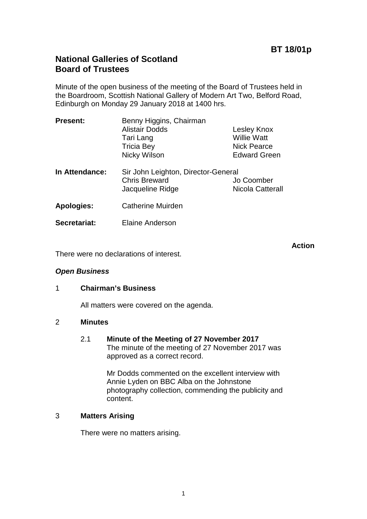# **BT 18/01p**

# **National Galleries of Scotland Board of Trustees**

Minute of the open business of the meeting of the Board of Trustees held in the Boardroom, Scottish National Gallery of Modern Art Two, Belford Road, Edinburgh on Monday 29 January 2018 at 1400 hrs.

| <b>Present:</b>   | Benny Higgins, Chairman<br><b>Alistair Dodds</b><br>Tari Lang<br><b>Tricia Bey</b><br>Nicky Wilson | Lesley Knox<br><b>Willie Watt</b><br><b>Nick Pearce</b><br><b>Edward Green</b> |
|-------------------|----------------------------------------------------------------------------------------------------|--------------------------------------------------------------------------------|
| In Attendance:    | Sir John Leighton, Director-General<br><b>Chris Breward</b><br>Jacqueline Ridge                    | Jo Coomber<br>Nicola Catterall                                                 |
| <b>Apologies:</b> | <b>Catherine Muirden</b>                                                                           |                                                                                |
| Secretariat:      | <b>Elaine Anderson</b>                                                                             |                                                                                |

**Action**

There were no declarations of interest.

#### *Open Business*

#### 1 **Chairman's Business**

All matters were covered on the agenda.

#### 2 **Minutes**

2.1 **Minute of the Meeting of 27 November 2017** The minute of the meeting of 27 November 2017 was approved as a correct record.

> Mr Dodds commented on the excellent interview with Annie Lyden on BBC Alba on the Johnstone photography collection, commending the publicity and content.

#### 3 **Matters Arising**

There were no matters arising.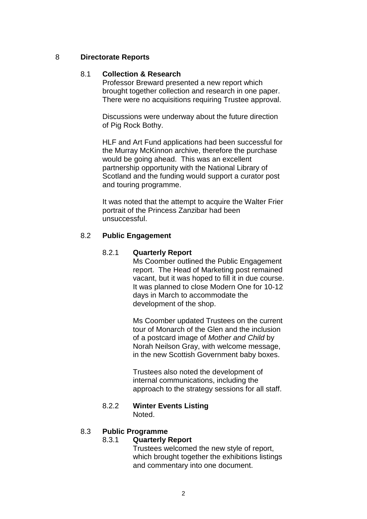## 8 **Directorate Reports**

## 8.1 **Collection & Research**

Professor Breward presented a new report which brought together collection and research in one paper. There were no acquisitions requiring Trustee approval.

Discussions were underway about the future direction of Pig Rock Bothy.

HLF and Art Fund applications had been successful for the Murray McKinnon archive, therefore the purchase would be going ahead. This was an excellent partnership opportunity with the National Library of Scotland and the funding would support a curator post and touring programme.

It was noted that the attempt to acquire the Walter Frier portrait of the Princess Zanzibar had been unsuccessful.

## 8.2 **Public Engagement**

#### 8.2.1 **Quarterly Report**

Ms Coomber outlined the Public Engagement report. The Head of Marketing post remained vacant, but it was hoped to fill it in due course. It was planned to close Modern One for 10-12 days in March to accommodate the development of the shop.

Ms Coomber updated Trustees on the current tour of Monarch of the Glen and the inclusion of a postcard image of *Mother and Child* by Norah Neilson Gray, with welcome message, in the new Scottish Government baby boxes.

Trustees also noted the development of internal communications, including the approach to the strategy sessions for all staff.

#### 8.2.2 **Winter Events Listing** Noted.

#### 8.3 **Public Programme**

#### 8.3.1 **Quarterly Report**

Trustees welcomed the new style of report, which brought together the exhibitions listings and commentary into one document.